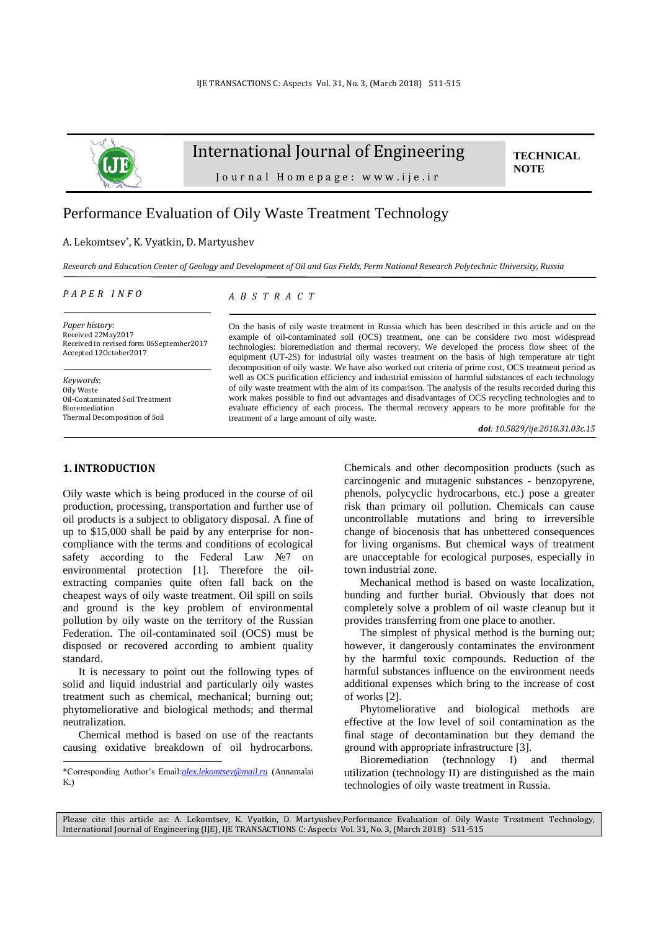

# International Journal of Engineering

**TECHNICAL NOTE**

Journal Homepage: www.ije.ir

# Performance Evaluation of Oily Waste Treatment Technology

## A. Lekomtsev\* , K. Vyatkin, D. Martyushev

*Research and Education Center of Geology and Development of Oil and Gas Fields, Perm National Research Polytechnic University, Russia*

#### *P A P E R I N F O*

*A B S T R A C T*

*Paper history:* Received 22May2017 Received in revised form 06September2017 Accepted 12October2017

*Keywords*: Oily Waste Oil-Contaminated Soil Treatment Bioremediation Thermal Decomposition of Soil

#### On the basis of oily waste treatment in Russia which has been described in this article and on the example of oil-contaminated soil (OCS) treatment, one can be considere two most widespread technologies: bioremediation and thermal recovery. We developed the process flow sheet of the equipment (UT-2S) for industrial oily wastes treatment on the basis of high temperature air tight decomposition of oily waste. We have also worked out criteria of prime cost, OCS treatment period as well as OCS purification efficiency and industrial emission of harmful substances of each technology of oily waste treatment with the aim of its comparison. The analysis of the results recorded during this work makes possible to find out advantages and disadvantages of OCS recycling technologies and to evaluate efficiency of each process. The thermal recovery appears to be more profitable for the treatment of a large amount of oily waste.

*doi: 10.5829/ije.2018.31.03c.15*

# **1. INTRODUCTION<sup>1</sup>**

 $\overline{\phantom{a}}$ 

Oily waste which is being produced in the course of oil production, processing, transportation and further use of oil products is a subject to obligatory disposal. A fine of up to \$15,000 shall be paid by any enterprise for noncompliance with the terms and conditions of ecological safety according to the Federal Law №7 on environmental protection [\[1\]](#page-3-0). Therefore the oilextracting companies quite often fall back on the cheapest ways of oily waste treatment. Oil spill on soils and ground is the key problem of environmental pollution by oily waste on the territory of the Russian Federation. The oil-contaminated soil (OCS) must be disposed or recovered according to ambient quality standard.

It is necessary to point out the following types of solid and liquid industrial and particularly oily wastes treatment such as chemical, mechanical; burning out; phytomeliorative and biological methods; and thermal neutralization.

Chemical method is based on use of the reactants causing oxidative breakdown of oil hydrocarbons.

Chemicals and other decomposition products (such as carcinogenic and mutagenic substances - benzopyrene, phenols, polycyclic hydrocarbons, etc.) pose a greater risk than primary oil pollution. Chemicals can cause uncontrollable mutations and bring to irreversible change of biocenosis that has unbettered consequences for living organisms. But chemical ways of treatment are unacceptable for ecological purposes, especially in town industrial zone.

Mechanical method is based on waste localization, bunding and further burial. Obviously that does not completely solve a problem of oil waste cleanup but it provides transferring from one place to another.

The simplest of physical method is the burning out; however, it dangerously contaminates the environment by the harmful toxic compounds. Reduction of the harmful substances influence on the environment needs additional expenses which bring to the increase of cost of works [\[2\]](#page-3-1).

Phytomeliorative and biological methods are effective at the low level of soil contamination as the final stage of decontamination but they demand the ground with appropriate infrastructure [\[3\]](#page-3-2).

Bioremediation (technology I) and thermal utilization (technology II) are distinguished as the main technologies of oily waste treatment in Russia.

Please cite this article as: A. Lekomtsev, K. Vyatkin, D. Martyushev,Performance Evaluation of Oily Waste Treatment Technology, International Journal of Engineering (IJE), IJE TRANSACTIONS C: Aspects Vol. 31, No. 3, (March 2018) 511-515

<sup>\*</sup>Corresponding Author's Email:*[alex.lekomtsev@mail.ru](mailto:alex.lekomtsev@mail.ru)* (Annamalai K.)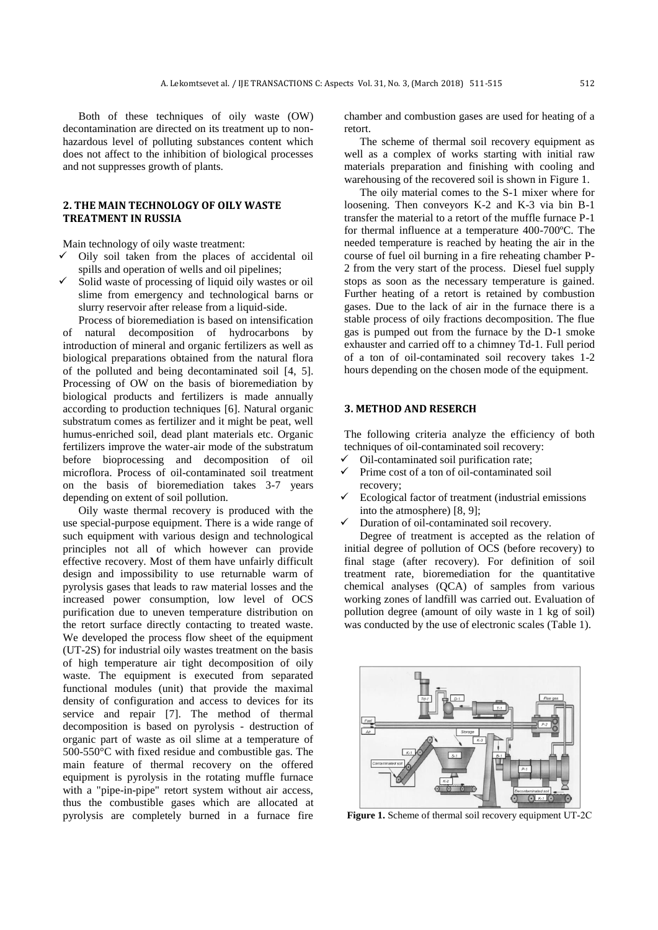Both of these techniques of oily waste (OW) decontamination are directed on its treatment up to nonhazardous level of polluting substances content which does not affect to the inhibition of biological processes and not suppresses growth of plants.

## **2. THE MAIN TECHNOLOGY OF OILY WASTE TREATMENT IN RUSSIA**

Main technology of oily waste treatment:

- $\checkmark$  Oily soil taken from the places of accidental oil spills and operation of wells and oil pipelines;
- Solid waste of processing of liquid oily wastes or oil slime from emergency and technological barns or slurry reservoir after release from a liquid-side.

Process of bioremediation is based on intensification of natural decomposition of hydrocarbons by introduction of mineral and organic fertilizers as well as biological preparations obtained from the natural flora of the polluted and being decontaminated soil [\[4,](#page-3-3) [5\]](#page-4-0). Processing of OW on the basis of bioremediation by biological products and fertilizers is made annually according to production techniques [\[6\]](#page-4-1). Natural organic substratum comes as fertilizer and it might be peat, well humus-enriched soil, dead plant materials etc. Organic fertilizers improve the water-air mode of the substratum before bioprocessing and decomposition of oil microflora. Process of oil-contaminated soil treatment on the basis of bioremediation takes 3-7 years depending on extent of soil pollution.

Oily waste thermal recovery is produced with the use special-purpose equipment. There is a wide range of such equipment with various design and technological principles not all of which however can provide effective recovery. Most of them have unfairly difficult design and impossibility to use returnable warm of pyrolysis gases that leads to raw material losses and the increased power consumption, low level of OCS purification due to uneven temperature distribution on the retort surface directly contacting to treated waste. We developed the process flow sheet of the equipment (UT-2S) for industrial oily wastes treatment on the basis of high temperature air tight decomposition of oily waste. The equipment is executed from separated functional modules (unit) that provide the maximal density of configuration and access to devices for its service and repair [\[7\]](#page-4-2). The method of thermal decomposition is based on pyrolysis - destruction of organic part of waste as oil slime at a temperature of 500-550°C with fixed residue and combustible gas. The main feature of thermal recovery on the offered equipment is pyrolysis in the rotating muffle furnace with a "pipe-in-pipe" retort system without air access, thus the combustible gases which are allocated at pyrolysis are completely burned in a furnace fire chamber and combustion gases are used for heating of a retort.

The scheme of thermal soil recovery equipment as well as a complex of works starting with initial raw materials preparation and finishing with cooling and warehousing of the recovered soil is shown in Figure 1.

The oily material comes to the S-1 mixer where for loosening. Then conveyors K-2 and K-3 via bin B-1 transfer the material to a retort of the muffle furnace P-1 for thermal influence at a temperature 400-700ºC. The needed temperature is reached by heating the air in the course of fuel oil burning in a fire reheating chamber P-2 from the very start of the process. Diesel fuel supply stops as soon as the necessary temperature is gained. Further heating of a retort is retained by combustion gases. Due to the lack of air in the furnace there is a stable process of oily fractions decomposition. The flue gas is pumped out from the furnace by the D-1 smoke exhauster and carried off to a chimney Td-1. Full period of a ton of oil-contaminated soil recovery takes 1-2 hours depending on the chosen mode of the equipment.

## **3. METHOD AND RESERCH**

The following criteria analyze the efficiency of both techniques of oil-contaminated soil recovery:

- Oil-contaminated soil purification rate;
- $\checkmark$  Prime cost of a ton of oil-contaminated soil recovery;
- Ecological factor of treatment (industrial emissions into the atmosphere) [\[8,](#page-4-3) [9\]](#page-4-4);
- $\checkmark$  Duration of oil-contaminated soil recovery.

Degree of treatment is accepted as the relation of initial degree of pollution of OCS (before recovery) to final stage (after recovery). For definition of soil treatment rate, bioremediation for the quantitative chemical analyses (QCA) of samples from various working zones of landfill was carried out. Evaluation of pollution degree (amount of oily waste in 1 kg of soil) was conducted by the use of electronic scales (Table 1).



**Figure 1.** Scheme of thermal soil recovery equipment UT-2С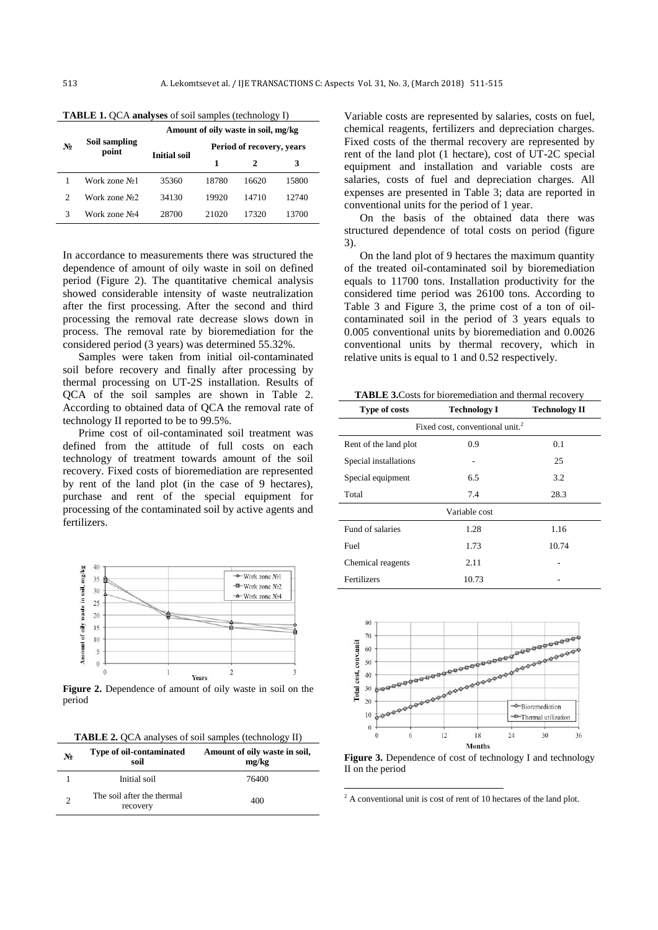|                           | Amount of oily waste in soil, mg/kg |       |  |
|---------------------------|-------------------------------------|-------|--|
| Period of recovery, years |                                     |       |  |
| 1<br>3<br>2               |                                     |       |  |
| 18780                     | 16620                               | 15800 |  |
| 19920                     | 14710                               | 12740 |  |
| 21020                     | 17320                               | 13700 |  |
|                           |                                     |       |  |

**TABLE 1.** QCA **analyses** of soil samples (technology I)

In accordance to measurements there was structured the dependence of amount of oily waste in soil on defined period (Figure 2). The quantitative chemical analysis showed considerable intensity of waste neutralization after the first processing. After the second and third processing the removal rate decrease slows down in process. The removal rate by bioremediation for the considered period (3 years) was determined 55.32%.

Samples were taken from initial oil-contaminated soil before recovery and finally after processing by thermal processing on UT-2S installation. Results of QCA of the soil samples are shown in Table 2. According to obtained data of QCA the removal rate of technology II reported to be to 99.5%.

Prime cost of oil-contaminated soil treatment was defined from the attitude of full costs on each technology of treatment towards amount of the soil recovery. Fixed costs of bioremediation are represented by rent of the land plot (in the case of 9 hectares), purchase and rent of the special equipment for processing of the contaminated soil by active agents and fertilizers.



Figure 2. Dependence of amount of oily waste in soil on the period

**TABLE 2.** QCA analyses of soil samples (technology II)

| N <sub>2</sub> | Type of oil-contaminated<br>soil       | Amount of oily waste in soil,<br>mg/kg |
|----------------|----------------------------------------|----------------------------------------|
|                | Initial soil                           | 76400                                  |
| $\mathcal{D}$  | The soil after the thermal<br>recovery | 400                                    |

Variable costs are represented by salaries, costs on fuel, chemical reagents, fertilizers and depreciation charges. Fixed costs of the thermal recovery are represented by rent of the land plot (1 hectare), cost of UT-2C special equipment and installation and variable costs are salaries, costs of fuel and depreciation charges. All expenses are presented in Table 3; data are reported in conventional units for the period of 1 year.

On the basis of the obtained data there was structured dependence of total costs on period (figure 3).

On the land plot of 9 hectares the maximum quantity of the treated oil-contaminated soil by bioremediation equals to 11700 tons. Installation productivity for the considered time period was 26100 tons. According to Table 3 and Figure 3, the prime cost of a ton of oilcontaminated soil in the period of 3 years equals to 0.005 conventional units by bioremediation and 0.0026 conventional units by thermal recovery, which in relative units is equal to 1 and 0.52 respectively.

**TABLE 3.**Costs for bioremediation and thermal recovery

| <b>Type of costs</b>                        | <b>Technology I</b> | <b>Technology II</b> |  |  |  |  |
|---------------------------------------------|---------------------|----------------------|--|--|--|--|
| Fixed cost, conventional unit. <sup>2</sup> |                     |                      |  |  |  |  |
| Rent of the land plot                       | 0.9                 | 0.1                  |  |  |  |  |
| Special installations                       |                     | 25                   |  |  |  |  |
| Special equipment                           | 6.5                 | 3.2                  |  |  |  |  |
| Total                                       | 7.4                 | 28.3                 |  |  |  |  |
| Variable cost                               |                     |                      |  |  |  |  |
| Fund of salaries                            | 1.28                | 1.16                 |  |  |  |  |
| Fuel                                        | 1.73                | 10.74                |  |  |  |  |
| Chemical reagents                           | 2.11                |                      |  |  |  |  |
| Fertilizers                                 | 10.73               |                      |  |  |  |  |



Figure 3. Dependence of cost of technology I and technology II on the period

 $2 A$  conventional unit is cost of rent of 10 hectares of the land plot.

-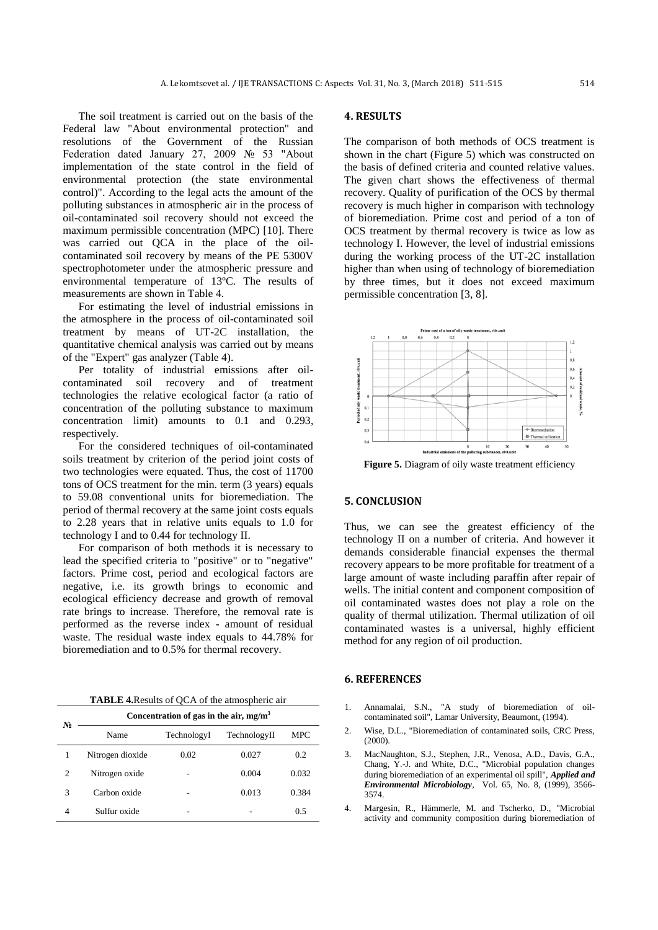The soil treatment is carried out on the basis of the Federal law "About environmental protection" and resolutions of the Government of the Russian Federation dated January 27, 2009 № 53 "About implementation of the state control in the field of environmental protection (the state environmental control)". According to the legal acts the amount of the polluting substances in atmospheric air in the process of oil-contaminated soil recovery should not exceed the maximum permissible concentration (MPC) [\[10\]](#page-4-5). There was carried out QCA in the place of the oilcontaminated soil recovery by means of the PE 5300V spectrophotometer under the atmospheric pressure and environmental temperature of 13ºC. The results of measurements are shown in Table 4.

For estimating the level of industrial emissions in the atmosphere in the process of oil-contaminated soil treatment by means of UT-2C installation, the quantitative chemical analysis was carried out by means of the "Expert" gas analyzer (Table 4).

Per totality of industrial emissions after oilcontaminated soil recovery and of treatment technologies the relative ecological factor (a ratio of concentration of the polluting substance to maximum concentration limit) amounts to 0.1 and 0.293, respectively.

For the considered techniques of oil-contaminated soils treatment by criterion of the period joint costs of two technologies were equated. Thus, the cost of 11700 tons of OCS treatment for the min. term (3 years) equals to 59.08 conventional units for bioremediation. The period of thermal recovery at the same joint costs equals to 2.28 years that in relative units equals to 1.0 for technology I and to 0.44 for technology II.

For comparison of both methods it is necessary to lead the specified criteria to "positive" or to "negative" factors. Prime cost, period and ecological factors are negative, i.e. its growth brings to economic and ecological efficiency decrease and growth of removal rate brings to increase. Therefore, the removal rate is performed as the reverse index - amount of residual waste. The residual waste index equals to 44.78% for bioremediation and to 0.5% for thermal recovery.

**TABLE 4.**Results of QCA of the atmospheric air

| N <sub>2</sub> | Concentration of gas in the air, $mg/m3$ |             |              |            |
|----------------|------------------------------------------|-------------|--------------|------------|
|                | Name                                     | TechnologyI | TechnologyII | <b>MPC</b> |
|                | Nitrogen dioxide                         | 0.02        | 0.027        | 0.2        |
| $\overline{c}$ | Nitrogen oxide                           |             | 0.004        | 0.032      |
| 3              | Carbon oxide                             |             | 0.013        | 0.384      |
| 4              | Sulfur oxide                             |             |              | 0.5        |

#### **4. RESULTS**

The comparison of both methods of OCS treatment is shown in the chart (Figure 5) which was constructed on the basis of defined criteria and counted relative values. The given chart shows the effectiveness of thermal recovery. Quality of purification of the OCS by thermal recovery is much higher in comparison with technology of bioremediation. Prime cost and period of a ton of OCS treatment by thermal recovery is twice as low as technology I. However, the level of industrial emissions during the working process of the UT-2C installation higher than when using of technology of bioremediation by three times, but it does not exceed maximum permissible concentration [\[3,](#page-3-2) [8\]](#page-4-3).



Figure 5. Diagram of oily waste treatment efficiency

# **5. CONCLUSION**

Thus, we can see the greatest efficiency of the technology II on a number of criteria. And however it demands considerable financial expenses the thermal recovery appears to be more profitable for treatment of a large amount of waste including paraffin after repair of wells. The initial content and component composition of oil contaminated wastes does not play a role on the quality of thermal utilization. Thermal utilization of oil contaminated wastes is a universal, highly efficient method for any region of oil production.

#### **6. REFERENCES**

- <span id="page-3-0"></span>1. Annamalai, S.N., "A study of bioremediation of oilcontaminated soil", Lamar University, Beaumont, (1994).
- <span id="page-3-1"></span>2. Wise, D.L., "Bioremediation of contaminated soils, CRC Press, (2000).
- <span id="page-3-2"></span>3. MacNaughton, S.J., Stephen, J.R., Venosa, A.D., Davis, G.A., Chang, Y.-J. and White, D.C., "Microbial population changes during bioremediation of an experimental oil spill", *Applied and Environmental Microbiology*, Vol. 65, No. 8, (1999), 3566- 3574.
- <span id="page-3-3"></span>4. Margesin, R., Hämmerle, M. and Tscherko, D., "Microbial activity and community composition during bioremediation of